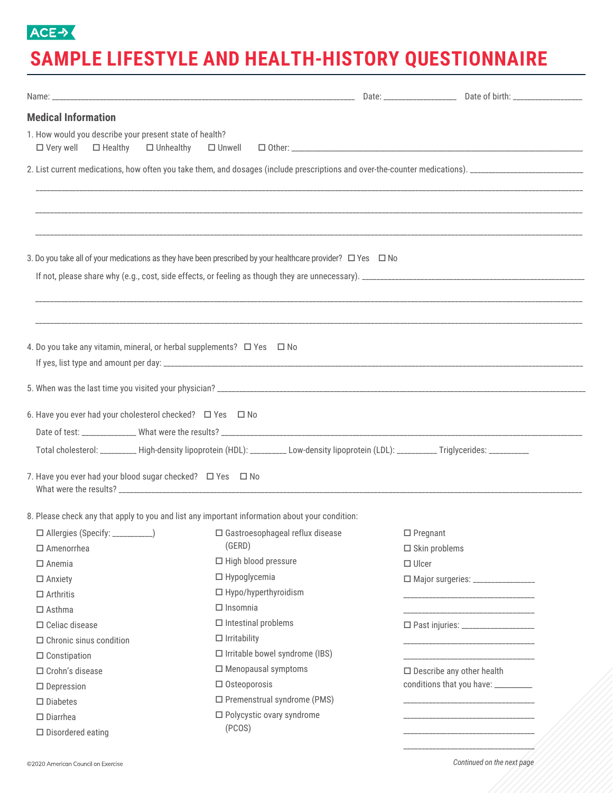## ACE->

## **SAMPLE LIFESTYLE AND HEALTH-HISTORY QUESTIONNAIRE**

| <b>Medical Information</b>                                                                                  |                                                                                                                                            |                                  |                                                         |
|-------------------------------------------------------------------------------------------------------------|--------------------------------------------------------------------------------------------------------------------------------------------|----------------------------------|---------------------------------------------------------|
| 1. How would you describe your present state of health?<br>$\Box$ Very well $\Box$ Healthy $\Box$ Unhealthy |                                                                                                                                            |                                  |                                                         |
|                                                                                                             |                                                                                                                                            |                                  |                                                         |
|                                                                                                             |                                                                                                                                            |                                  |                                                         |
|                                                                                                             |                                                                                                                                            |                                  |                                                         |
|                                                                                                             |                                                                                                                                            |                                  |                                                         |
|                                                                                                             | 3. Do you take all of your medications as they have been prescribed by your healthcare provider? $\Box$ Yes $\Box$ No                      |                                  |                                                         |
|                                                                                                             |                                                                                                                                            |                                  |                                                         |
|                                                                                                             |                                                                                                                                            |                                  |                                                         |
|                                                                                                             |                                                                                                                                            |                                  |                                                         |
| 4. Do you take any vitamin, mineral, or herbal supplements? $\Box$ Yes $\Box$ No                            |                                                                                                                                            |                                  |                                                         |
|                                                                                                             |                                                                                                                                            |                                  |                                                         |
|                                                                                                             |                                                                                                                                            |                                  |                                                         |
|                                                                                                             |                                                                                                                                            |                                  |                                                         |
| 6. Have you ever had your cholesterol checked? □ Yes □ No                                                   |                                                                                                                                            |                                  |                                                         |
|                                                                                                             |                                                                                                                                            |                                  |                                                         |
|                                                                                                             | Total cholesterol: _________ High-density lipoprotein (HDL): _________ Low-density lipoprotein (LDL): __________ Triglycerides: __________ |                                  |                                                         |
|                                                                                                             |                                                                                                                                            |                                  |                                                         |
| 7. Have you ever had your blood sugar checked? □ Yes □ No                                                   |                                                                                                                                            |                                  |                                                         |
|                                                                                                             |                                                                                                                                            |                                  |                                                         |
|                                                                                                             | 8. Please check any that apply to you and list any important information about your condition:                                             |                                  |                                                         |
|                                                                                                             |                                                                                                                                            |                                  |                                                         |
| $\Box$ Amenorrhea                                                                                           | (GERD)                                                                                                                                     | $\square$ Skin problems          |                                                         |
| $\Box$ Anemia                                                                                               | □ High blood pressure                                                                                                                      | $\Box$ Ulcer                     |                                                         |
| $\Box$ Anxiety                                                                                              | $\Box$ Hypoglycemia                                                                                                                        |                                  | □ Major surgeries: _________________                    |
| $\Box$ Arthritis                                                                                            | □ Hypo/hyperthyroidism                                                                                                                     |                                  | <u> 1989 - Johann Johnson, mars andrewski politik (</u> |
| $\Box$ Asthma                                                                                               | $\Box$ Insomnia                                                                                                                            |                                  |                                                         |
| $\Box$ Celiac disease                                                                                       | $\Box$ Intestinal problems                                                                                                                 |                                  | □ Past injuries: _____________________                  |
| $\Box$ Chronic sinus condition                                                                              | $\Box$ Irritability                                                                                                                        |                                  | __________________________________                      |
| $\Box$ Constipation                                                                                         | $\Box$ Irritable bowel syndrome (IBS)                                                                                                      |                                  |                                                         |
| $\Box$ Crohn's disease                                                                                      | $\Box$ Menopausal symptoms                                                                                                                 | $\Box$ Describe any other health |                                                         |
| $\Box$ Depression                                                                                           | $\Box$ Osteoporosis                                                                                                                        |                                  | conditions that you have: _________                     |
| $\square$ Diabetes                                                                                          | $\square$ Premenstrual syndrome (PMS)                                                                                                      |                                  |                                                         |
| $\square$ Diarrhea                                                                                          | $\Box$ Polycystic ovary syndrome                                                                                                           |                                  |                                                         |
| $\square$ Disordered eating                                                                                 | (PCOS)                                                                                                                                     |                                  |                                                         |
|                                                                                                             |                                                                                                                                            |                                  |                                                         |

*Continued on the next page*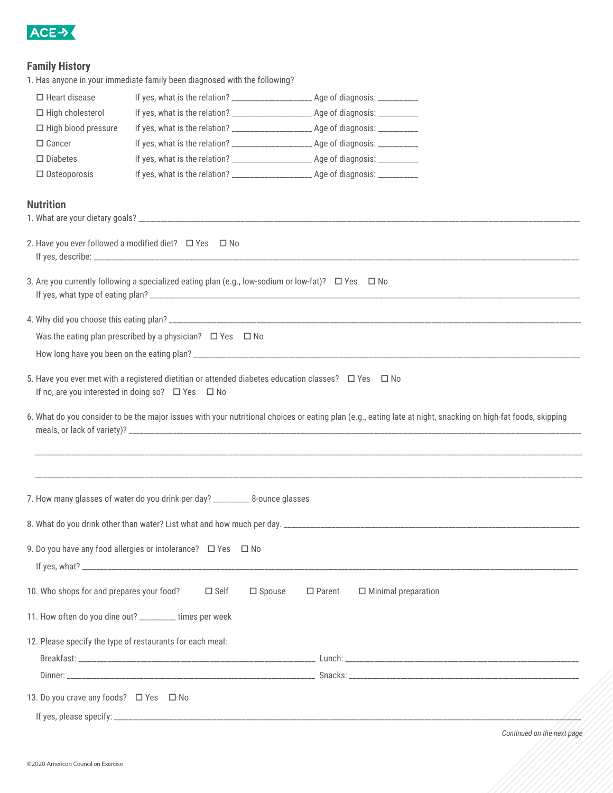

## **Family History**

|                                           | 1. Has anyone in your immediate family been diagnosed with the following?                                    |                                                                                                                                                               |
|-------------------------------------------|--------------------------------------------------------------------------------------------------------------|---------------------------------------------------------------------------------------------------------------------------------------------------------------|
| $\Box$ Heart disease                      |                                                                                                              | If yes, what is the relation? _______________________ Age of diagnosis: __________                                                                            |
| $\Box$ High cholesterol                   |                                                                                                              | If yes, what is the relation? ________________________ Age of diagnosis: ___________                                                                          |
| $\Box$ High blood pressure                |                                                                                                              |                                                                                                                                                               |
| $\Box$ Cancer                             |                                                                                                              | If yes, what is the relation? _______________________ Age of diagnosis: __________                                                                            |
| $\Box$ Diabetes                           |                                                                                                              | If yes, what is the relation? ________________________ Age of diagnosis: ___________                                                                          |
| $\Box$ Osteoporosis                       |                                                                                                              |                                                                                                                                                               |
| <b>Nutrition</b>                          |                                                                                                              |                                                                                                                                                               |
|                                           |                                                                                                              |                                                                                                                                                               |
|                                           | 2. Have you ever followed a modified diet? $\Box$ Yes $\Box$ No                                              |                                                                                                                                                               |
|                                           | 3. Are you currently following a specialized eating plan (e.g., low-sodium or low-fat)? $\Box$ Yes $\Box$ No |                                                                                                                                                               |
|                                           |                                                                                                              |                                                                                                                                                               |
|                                           | Was the eating plan prescribed by a physician? $\Box$ Yes $\Box$ No                                          |                                                                                                                                                               |
|                                           |                                                                                                              |                                                                                                                                                               |
|                                           | If no, are you interested in doing so? $\Box$ Yes $\Box$ No                                                  | 5. Have you ever met with a registered dietitian or attended diabetes education classes? $\Box$ Yes $\Box$ No                                                 |
|                                           |                                                                                                              | 6. What do you consider to be the major issues with your nutritional choices or eating plan (e.g., eating late at night, snacking on high-fat foods, skipping |
|                                           |                                                                                                              |                                                                                                                                                               |
|                                           | 7. How many glasses of water do you drink per day? __________ 8-ounce glasses                                |                                                                                                                                                               |
|                                           | 8. What do you drink other than water? List what and how much per day. ___________                           |                                                                                                                                                               |
|                                           | 9. Do you have any food allergies or intolerance? $\Box$ Yes $\Box$ No                                       |                                                                                                                                                               |
| 10. Who shops for and prepares your food? | $\square$ Self                                                                                               | $\square$ Spouse<br>$\square$ Parent<br>$\Box$ Minimal preparation                                                                                            |
|                                           | 11. How often do you dine out? ________ times per week                                                       |                                                                                                                                                               |
|                                           | 12. Please specify the type of restaurants for each meal:                                                    |                                                                                                                                                               |
|                                           |                                                                                                              |                                                                                                                                                               |
|                                           |                                                                                                              |                                                                                                                                                               |
| 13. Do you crave any foods? □ Yes □ No    |                                                                                                              |                                                                                                                                                               |
|                                           |                                                                                                              |                                                                                                                                                               |

*Continued on the next page*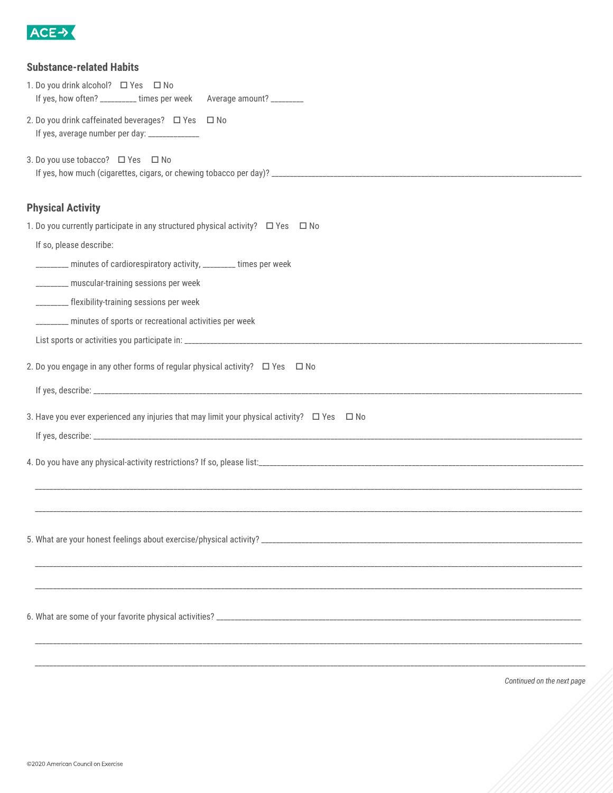

| <b>Substance-related Habits</b><br>1. Do you drink alcohol? □ Yes □ No<br>If yes, how often? __________ times per week Average amount? _________<br>2. Do you drink caffeinated beverages? □ Yes □ No<br>If yes, average number per day: ______________<br>3. Do you use tobacco? □ Yes □ No                                                                                          |
|---------------------------------------------------------------------------------------------------------------------------------------------------------------------------------------------------------------------------------------------------------------------------------------------------------------------------------------------------------------------------------------|
| <b>Physical Activity</b><br>1. Do you currently participate in any structured physical activity? □ Yes □ No<br>If so, please describe:<br>________ minutes of cardiorespiratory activity, ________ times per week<br>________ muscular-training sessions per week<br>________ flexibility-training sessions per week<br>_______ minutes of sports or recreational activities per week |
| 2. Do you engage in any other forms of regular physical activity? $\Box$ Yes $\Box$ No<br>3. Have you ever experienced any injuries that may limit your physical activity? $\Box$ Yes $\Box$ No                                                                                                                                                                                       |
|                                                                                                                                                                                                                                                                                                                                                                                       |
|                                                                                                                                                                                                                                                                                                                                                                                       |

*Continued on the next page*